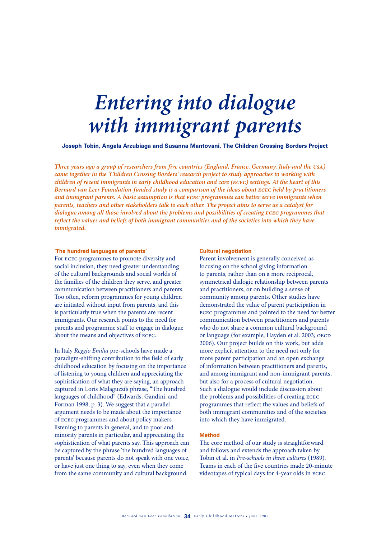# *Entering into dialogue with immigrant parents*

**Joseph Tobin, Angela Arzubiaga and Susanna Mantovani, The Children Crossing Borders Project**

*Three years ago a group of researchers from five countries (England, France, Germany, Italy and the usa) came together in the 'Children Crossing Borders' research project to study approaches to working with children of recent immigrants in early childhood education and care (ecec) settings. At the heart of this Bernard van Leer Foundation-funded study is a comparison of the ideas about ecec held by practitioners and immigrant parents. A basic assumption is that ecec programmes can better serve immigrants when parents, teachers and other stakeholders talk to each other. The project aims to serve as a catalyst for dialogue among all those involved about the problems and possibilities of creating ecec programmes that reflect the values and beliefs of both immigrant communities and of the societies into which they have immigrated.*

#### **'The hundred languages of parents'**

For ecec programmes to promote diversity and social inclusion, they need greater understanding of the cultural backgrounds and social worlds of the families of the children they serve, and greater communication between practitioners and parents. Too often, reform programmes for young children are initiated without input from parents, and this is particularly true when the parents are recent immigrants. Our research points to the need for parents and programme staff to engage in dialogue about the means and objectives of ecec.

In Italy *Reggio Emilia* pre-schools have made a paradigm-shifting contribution to the field of early childhood education by focusing on the importance of listening to young children and appreciating the sophistication of what they are saying, an approach captured in Loris Malaguzzi's phrase, "The hundred languages of childhood" (Edwards, Gandini, and Forman 1998, p. 3). We suggest that a parallel argument needs to be made about the importance of ecec programmes and about policy makers listening to parents in general, and to poor and minority parents in particular, and appreciating the sophistication of what parents say. This approach can be captured by the phrase 'the hundred languages of parents' because parents do not speak with one voice, or have just one thing to say, even when they come from the same community and cultural background.

#### **Cultural negotiation**

Parent involvement is generally conceived as focusing on the school giving information to parents, rather than on a more reciprocal, symmetrical dialogic relationship between parents and practitioners, or on building a sense of community among parents. Other studies have demonstrated the value of parent participation in ecec programmes and pointed to the need for better communication between practitioners and parents who do not share a common cultural background or language (for example, Hayden et al. 2003; OECD 2006). Our project builds on this work, but adds more explicit attention to the need not only for more parent participation and an open exchange of information between practitioners and parents, and among immigrant and non-immigrant parents, but also for a process of cultural negotiation. Such a dialogue would include discussion about the problems and possibilities of creating ecec programmes that reflect the values and beliefs of both immigrant communities and of the societies into which they have immigrated.

# **Method**

The core method of our study is straightforward and follows and extends the approach taken by Tobin et al. in *Pre-schools in three cultures* (1989). Teams in each of the five countries made 20-minute videotapes of typical days for 4-year olds in ecec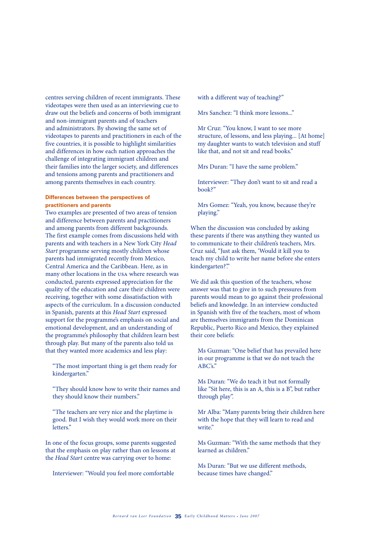centres serving children of recent immigrants. These videotapes were then used as an interviewing cue to draw out the beliefs and concerns of both immigrant and non-immigrant parents and of teachers and administrators. By showing the same set of videotapes to parents and practitioners in each of the five countries, it is possible to highlight similarities and differences in how each nation approaches the challenge of integrating immigrant children and their families into the larger society, and differences and tensions among parents and practitioners and among parents themselves in each country.

# **Differences between the perspectives of practitioners and parents**

Two examples are presented of two areas of tension and difference between parents and practitioners and among parents from different backgrounds. The first example comes from discussions held with parents and with teachers in a New York City *Head Start* programme serving mostly children whose parents had immigrated recently from Mexico, Central America and the Caribbean. Here, as in many other locations in the usa where research was conducted, parents expressed appreciation for the quality of the education and care their children were receiving, together with some dissatisfaction with aspects of the curriculum. In a discussion conducted in Spanish, parents at this *Head Start* expressed support for the programme's emphasis on social and emotional development, and an understanding of the programme's philosophy that children learn best through play. But many of the parents also told us that they wanted more academics and less play:

 "The most important thing is get them ready for kindergarten."

 "They should know how to write their names and they should know their numbers."

 "The teachers are very nice and the playtime is good. But I wish they would work more on their letters."

In one of the focus groups, some parents suggested that the emphasis on play rather than on lessons at the *Head Start* centre was carrying over to home:

Interviewer: "Would you feel more comfortable

with a different way of teaching?"

Mrs Sanchez: "I think more lessons..."

 Mr Cruz: "You know, I want to see more structure, of lessons, and less playing... [At home] my daughter wants to watch television and stuff like that, and not sit and read books."

Mrs Duran: "I have the same problem."

 Interviewer: "They don't want to sit and read a book?"

 Mrs Gomez: "Yeah, you know, because they're playing."

When the discussion was concluded by asking these parents if there was anything they wanted us to communicate to their children's teachers, Mrs. Cruz said, "Just ask them, 'Would it kill you to teach my child to write her name before she enters kindergarten?"

We did ask this question of the teachers, whose answer was that to give in to such pressures from parents would mean to go against their professional beliefs and knowledge. In an interview conducted in Spanish with five of the teachers, most of whom are themselves immigrants from the Dominican Republic, Puerto Rico and Mexico, they explained their core beliefs:

 Ms Guzman: "One belief that has prevailed here in our programme is that we do not teach the ABC's."

 Ms Duran: "We do teach it but not formally like "Sit here, this is an A, this is a B", but rather through play".

 Mr Alba: "Many parents bring their children here with the hope that they will learn to read and write."

 Ms Guzman: "With the same methods that they learned as children."

 Ms Duran: "But we use different methods, because times have changed."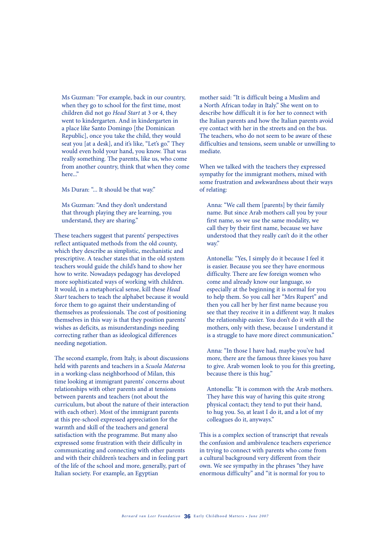Ms Guzman: "For example, back in our country, when they go to school for the first time, most children did not go *Head Start* at 3 or 4, they went to kindergarten. And in kindergarten in a place like Santo Domingo [the Dominican Republic], once you take the child, they would seat you [at a desk], and it's like, "Let's go." They would even hold your hand, you know. That was really something. The parents, like us, who come from another country, think that when they come here..."

Ms Duran: "... It should be that way."

 Ms Guzman: "And they don't understand that through playing they are learning, you understand, they are sharing."

These teachers suggest that parents' perspectives reflect antiquated methods from the old county, which they describe as simplistic, mechanistic and prescriptive. A teacher states that in the old system teachers would guide the child's hand to show her how to write. Nowadays pedagogy has developed more sophisticated ways of working with children. It would, in a metaphorical sense, kill these *Head Start* teachers to teach the alphabet because it would force them to go against their understanding of themselves as professionals. The cost of positioning themselves in this way is that they position parents' wishes as deficits, as misunderstandings needing correcting rather than as ideological differences needing negotiation.

The second example, from Italy, is about discussions held with parents and teachers in a *Scuola Materna* in a working-class neighborhood of Milan, this time looking at immigrant parents' concerns about relationships with other parents and at tensions between parents and teachers (not about the curriculum, but about the nature of their interaction with each other). Most of the immigrant parents at this pre-school expressed appreciation for the warmth and skill of the teachers and general satisfaction with the programme. But many also expressed some frustration with their difficulty in communicating and connecting with other parents and with their children's teachers and in feeling part of the life of the school and more, generally, part of Italian society. For example, an Egyptian

mother said: "It is difficult being a Muslim and a North African today in Italy." She went on to describe how difficult it is for her to connect with the Italian parents and how the Italian parents avoid eye contact with her in the streets and on the bus. The teachers, who do not seem to be aware of these difficulties and tensions, seem unable or unwilling to mediate.

When we talked with the teachers they expressed sympathy for the immigrant mothers, mixed with some frustration and awkwardness about their ways of relating:

Anna: "We call them [parents] by their family name. But since Arab mothers call you by your first name, so we use the same modality, we call they by their first name, because we have understood that they really can't do it the other way."

Antonella: "Yes, I simply do it because I feel it is easier. Because you see they have enormous difficulty. There are few foreign women who come and already know our language, so especially at the beginning it is normal for you to help them. So you call her "Mrs Rupert" and then you call her by her first name because you see that they receive it in a different way. It makes the relationship easier. You don't do it with all the mothers, only with these, because I understand it is a struggle to have more direct communication."

Anna: "In those I have had, maybe you've had more, there are the famous three kisses you have to give. Arab women look to you for this greeting, because there is this hug."

Antonella: "It is common with the Arab mothers. They have this way of having this quite strong physical contact; they tend to put their hand, to hug you. So, at least I do it, and a lot of my colleagues do it, anyways."

This is a complex section of transcript that reveals the confusion and ambivalence teachers experience in trying to connect with parents who come from a cultural background very different from their own. We see sympathy in the phrases "they have enormous difficulty" and "it is normal for you to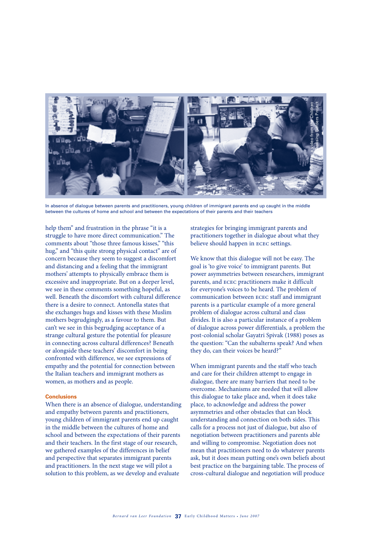

In absence of dialogue between parents and practitioners, young children of immigrant parents end up caught in the middle between the cultures of home and school and between the expectations of their parents and their teachers

help them" and frustration in the phrase "it is a struggle to have more direct communication." The comments about "those three famous kisses," "this hug," and "this quite strong physical contact" are of concern because they seem to suggest a discomfort and distancing and a feeling that the immigrant mothers' attempts to physically embrace them is excessive and inappropriate. But on a deeper level, we see in these comments something hopeful, as well. Beneath the discomfort with cultural difference there is a desire to connect. Antonella states that she exchanges hugs and kisses with these Muslim mothers begrudgingly, as a favour to them. But can't we see in this begrudging acceptance of a strange cultural gesture the potential for pleasure in connecting across cultural differences? Beneath or alongside these teachers' discomfort in being confronted with difference, we see expressions of empathy and the potential for connection between the Italian teachers and immigrant mothers as women, as mothers and as people.

## **Conclusions**

When there is an absence of dialogue, understanding and empathy between parents and practitioners, young children of immigrant parents end up caught in the middle between the cultures of home and school and between the expectations of their parents and their teachers. In the first stage of our research, we gathered examples of the differences in belief and perspective that separates immigrant parents and practitioners. In the next stage we will pilot a solution to this problem, as we develop and evaluate

strategies for bringing immigrant parents and practitioners together in dialogue about what they believe should happen in ecec settings.

We know that this dialogue will not be easy. The goal is 'to give voice' to immigrant parents. But power asymmetries between researchers, immigrant parents, and ecec practitioners make it difficult for everyone's voices to be heard. The problem of communication between ecec staff and immigrant parents is a particular example of a more general problem of dialogue across cultural and class divides. It is also a particular instance of a problem of dialogue across power differentials, a problem the post-colonial scholar Gayatri Spivak (1988) poses as the question: "Can the subalterns speak? And when they do, can their voices be heard?"

When immigrant parents and the staff who teach and care for their children attempt to engage in dialogue, there are many barriers that need to be overcome. Mechanisms are needed that will allow this dialogue to take place and, when it does take place, to acknowledge and address the power asymmetries and other obstacles that can block understanding and connection on both sides. This calls for a process not just of dialogue, but also of negotiation between practitioners and parents able and willing to compromise. Negotiation does not mean that practitioners need to do whatever parents ask, but it does mean putting one's own beliefs about best practice on the bargaining table. The process of cross-cultural dialogue and negotiation will produce **Propagation**<br> **Propagation**<br> **Cross-cultural dialogue and their teaches**<br> **Cross-cultural dialogue and their teaches**<br> **Cross-cultural dialogue and their teaches**<br> **Cross-cultural dialogue and the Cross-culture Stills fro**